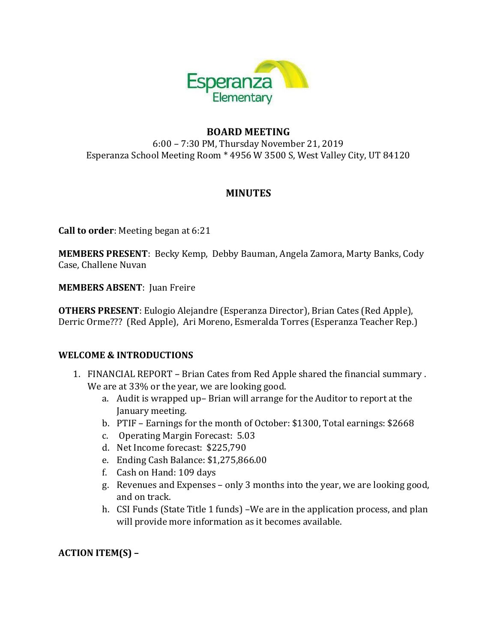

### **BOARD MEETING**

6:00 – 7:30 PM, Thursday November 21, 2019 Esperanza School Meeting Room \* 4956 W 3500 S, West Valley City, UT 84120

#### **MINUTES**

**Call to order**: Meeting began at 6:21

**MEMBERS PRESENT**: Becky Kemp, Debby Bauman, Angela Zamora, Marty Banks, Cody Case, Challene Nuvan

**MEMBERS ABSENT**: Juan Freire

**OTHERS PRESENT**: Eulogio Alejandre (Esperanza Director), Brian Cates (Red Apple), Derric Orme??? (Red Apple), Ari Moreno, Esmeralda Torres (Esperanza Teacher Rep.)

#### **WELCOME & INTRODUCTIONS**

- 1. FINANCIAL REPORT Brian Cates from Red Apple shared the financial summary . We are at 33% or the year, we are looking good.
	- a. Audit is wrapped up– Brian will arrange for the Auditor to report at the January meeting.
	- b. PTIF Earnings for the month of October: \$1300, Total earnings: \$2668
	- c. Operating Margin Forecast: 5.03
	- d. Net Income forecast: \$225,790
	- e. Ending Cash Balance: \$1,275,866.00
	- f. Cash on Hand: 109 days
	- g. Revenues and Expenses only 3 months into the year, we are looking good, and on track.
	- h. CSI Funds (State Title 1 funds) –We are in the application process, and plan will provide more information as it becomes available.

**ACTION ITEM(S) –**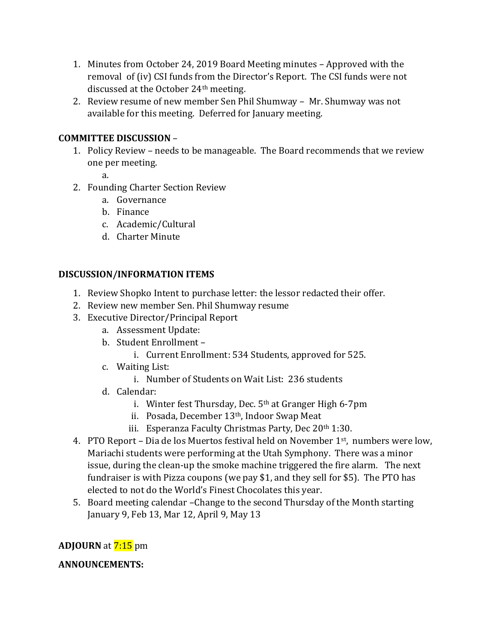- 1. Minutes from October 24, 2019 Board Meeting minutes Approved with the removal of (iv) CSI funds from the Director's Report. The CSI funds were not discussed at the October 24th meeting.
- 2. Review resume of new member Sen Phil Shumway Mr. Shumway was not available for this meeting. Deferred for January meeting.

# **COMMITTEE DISCUSSION** –

- 1. Policy Review needs to be manageable. The Board recommends that we review one per meeting.
	- a.
- 2. Founding Charter Section Review
	- a. Governance
	- b. Finance
	- c. Academic/Cultural
	- d. Charter Minute

#### **DISCUSSION/INFORMATION ITEMS**

- 1. Review Shopko Intent to purchase letter: the lessor redacted their offer.
- 2. Review new member Sen. Phil Shumway resume
- 3. Executive Director/Principal Report
	- a. Assessment Update:
	- b. Student Enrollment
		- i. Current Enrollment: 534 Students, approved for 525.
	- c. Waiting List:
		- i. Number of Students on Wait List: 236 students
	- d. Calendar:
		- i. Winter fest Thursday, Dec.  $5<sup>th</sup>$  at Granger High 6-7pm
		- ii. Posada, December 13<sup>th</sup>, Indoor Swap Meat
		- iii. Esperanza Faculty Christmas Party, Dec 20<sup>th</sup> 1:30.
- 4. PTO Report Dia de los Muertos festival held on November 1<sup>st</sup>, numbers were low, Mariachi students were performing at the Utah Symphony. There was a minor issue, during the clean-up the smoke machine triggered the fire alarm. The next fundraiser is with Pizza coupons (we pay \$1, and they sell for \$5). The PTO has elected to not do the World's Finest Chocolates this year.
- 5. Board meeting calendar –Change to the second Thursday of the Month starting January 9, Feb 13, Mar 12, April 9, May 13

# **ADJOURN** at **7:15** pm

# **ANNOUNCEMENTS:**